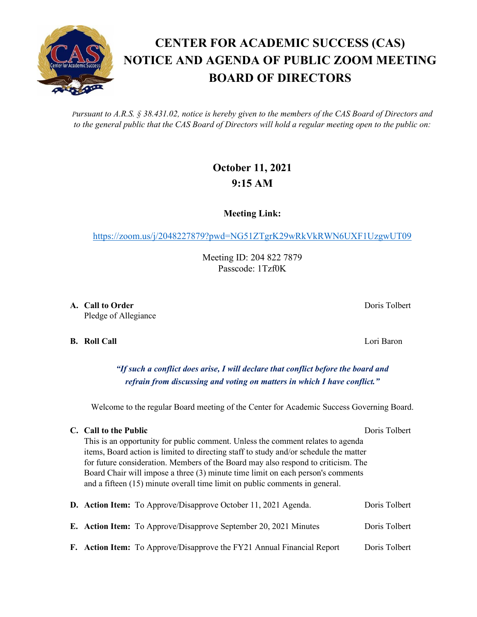*Pursuant to A.R.S. § 38.431.02, notice is hereby given to the members of the CAS Board of Directors and to the general public that the CAS Board of Directors will hold a regular meeting open to the public on:*

**CENTER FOR ACADEMIC SUCCESS (CAS)**

**BOARD OF DIRECTORS**

# **October 11, 2021 9:15 AM**

**Meeting Link:**

<https://zoom.us/j/2048227879?pwd=NG51ZTgrK29wRkVkRWN6UXF1UzgwUT09>

Meeting ID: 204 822 7879 Passcode: 1Tzf0K

**A. Call to Order** Doris Tolbert **Domain Community** Doris Tolbert **Doris Tolbert** Pledge of Allegiance

**B. Roll Call** Lori Baron

*"If such a conflict does arise, I will declare that conflict before the board and refrain from discussing and voting on matters in which I have conflict."*

Welcome to the regular Board meeting of the Center for Academic Success Governing Board.

## **C. Call to the Public** Doris Tolbert Doris Tolbert

This is an opportunity for public comment. Unless the comment relates to agenda items, Board action is limited to directing staff to study and/or schedule the matter for future consideration. Members of the Board may also respond to criticism. The Board Chair will impose a three (3) minute time limit on each person's comments and a fifteen (15) minute overall time limit on public comments in general.

|  | <b>D.</b> Action Item: To Approve/Disapprove October 11, 2021 Agenda.   | Doris Tolbert |
|--|-------------------------------------------------------------------------|---------------|
|  | <b>E.</b> Action Item: To Approve/Disapprove September 20, 2021 Minutes | Doris Tolbert |
|  | F. Action Item: To Approve/Disapprove the FY21 Annual Financial Report  | Doris Tolbert |

# **NOTICE AND AGENDA OF PUBLIC ZOOM MEETING**